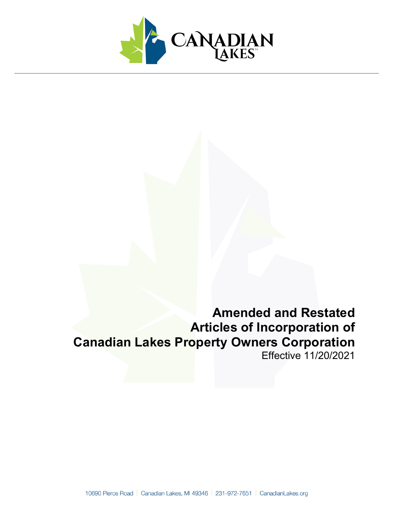

# **Amended and Restated Articles of Incorporation of Canadian Lakes Property Owners Corporation** Effective 11/20/2021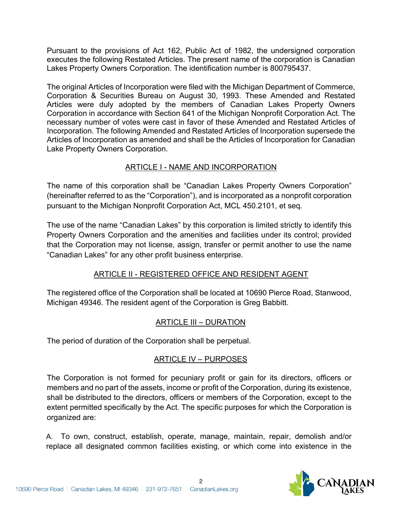Pursuant to the provisions of Act 162, Public Act of 1982, the undersigned corporation executes the following Restated Articles. The present name of the corporation is Canadian Lakes Property Owners Corporation. The identification number is 800795437.

The original Articles of Incorporation were filed with the Michigan Department of Commerce, Corporation & Securities Bureau on August 30, 1993. These Amended and Restated Articles were duly adopted by the members of Canadian Lakes Property Owners Corporation in accordance with Section 641 of the Michigan Nonprofit Corporation Act. The necessary number of votes were cast in favor of these Amended and Restated Articles of Incorporation. The following Amended and Restated Articles of Incorporation supersede the Articles of Incorporation as amended and shall be the Articles of Incorporation for Canadian Lake Property Owners Corporation.

# ARTICLE I - NAME AND INCORPORATION

The name of this corporation shall be "Canadian Lakes Property Owners Corporation" (hereinafter referred to as the "Corporation"), and is incorporated as a nonprofit corporation pursuant to the Michigan Nonprofit Corporation Act, MCL 450.2101, et seq.

The use of the name "Canadian Lakes" by this corporation is limited strictly to identify this Property Owners Corporation and the amenities and facilities under its control; provided that the Corporation may not license, assign, transfer or permit another to use the name "Canadian Lakes" for any other profit business enterprise.

# ARTICLE II - REGISTERED OFFICE AND RESIDENT AGENT

The registered office of the Corporation shall be located at 10690 Pierce Road, Stanwood, Michigan 49346. The resident agent of the Corporation is Greg Babbitt.

# ARTICLE III – DURATION

The period of duration of the Corporation shall be perpetual.

# ARTICLE IV – PURPOSES

The Corporation is not formed for pecuniary profit or gain for its directors, officers or members and no part of the assets, income or profit of the Corporation, during its existence, shall be distributed to the directors, officers or members of the Corporation, except to the extent permitted specifically by the Act. The specific purposes for which the Corporation is organized are:

A. To own, construct, establish, operate, manage, maintain, repair, demolish and/or replace all designated common facilities existing, or which come into existence in the

 $\mathfrak{p}$ 

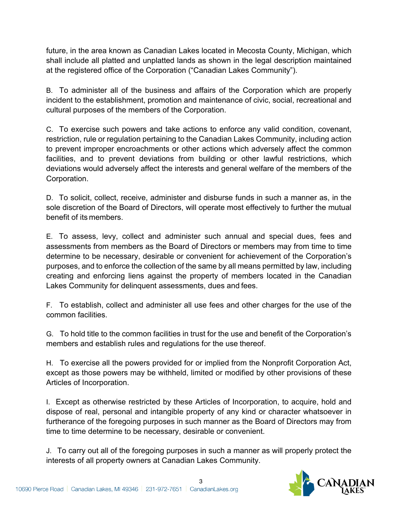future, in the area known as Canadian Lakes located in Mecosta County, Michigan, which shall include all platted and unplatted lands as shown in the legal description maintained at the registered office of the Corporation ("Canadian Lakes Community").

B. To administer all of the business and affairs of the Corporation which are properly incident to the establishment, promotion and maintenance of civic, social, recreational and cultural purposes of the members of the Corporation.

C. To exercise such powers and take actions to enforce any valid condition, covenant, restriction, rule or regulation pertaining to the Canadian Lakes Community, including action to prevent improper encroachments or other actions which adversely affect the common facilities, and to prevent deviations from building or other lawful restrictions, which deviations would adversely affect the interests and general welfare of the members of the Corporation.

D. To solicit, collect, receive, administer and disburse funds in such a manner as, in the sole discretion of the Board of Directors, will operate most effectively to further the mutual benefit of its members.

E. To assess, levy, collect and administer such annual and special dues, fees and assessments from members as the Board of Directors or members may from time to time determine to be necessary, desirable or convenient for achievement of the Corporation's purposes, and to enforce the collection of the same by all means permitted by law, including creating and enforcing liens against the property of members located in the Canadian Lakes Community for delinquent assessments, dues and fees.

F. To establish, collect and administer all use fees and other charges for the use of the common facilities.

G. To hold title to the common facilities in trust for the use and benefit of the Corporation's members and establish rules and regulations for the use thereof.

H. To exercise all the powers provided for or implied from the Nonprofit Corporation Act, except as those powers may be withheld, limited or modified by other provisions of these Articles of Incorporation.

I. Except as otherwise restricted by these Articles of Incorporation, to acquire, hold and dispose of real, personal and intangible property of any kind or character whatsoever in furtherance of the foregoing purposes in such manner as the Board of Directors may from time to time determine to be necessary, desirable or convenient.

J. To carry out all of the foregoing purposes in such a manner as will properly protect the interests of all property owners at Canadian Lakes Community.

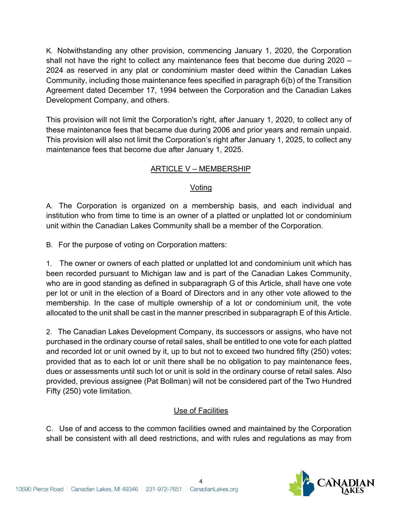K. Notwithstanding any other provision, commencing January 1, 2020, the Corporation shall not have the right to collect any maintenance fees that become due during 2020 – 2024 as reserved in any plat or condominium master deed within the Canadian Lakes Community, including those maintenance fees specified in paragraph 6(b) of the Transition Agreement dated December 17, 1994 between the Corporation and the Canadian Lakes Development Company, and others.

This provision will not limit the Corporation's right, after January 1, 2020, to collect any of these maintenance fees that became due during 2006 and prior years and remain unpaid. This provision will also not limit the Corporation's right after January 1, 2025, to collect any maintenance fees that become due after January 1, 2025.

# ARTICLE V – MEMBERSHIP

### Voting

A. The Corporation is organized on a membership basis, and each individual and institution who from time to time is an owner of a platted or unplatted lot or condominium unit within the Canadian Lakes Community shall be a member of the Corporation.

B. For the purpose of voting on Corporation matters:

1. The owner or owners of each platted or unplatted lot and condominium unit which has been recorded pursuant to Michigan law and is part of the Canadian Lakes Community, who are in good standing as defined in subparagraph G of this Article, shall have one vote per lot or unit in the election of a Board of Directors and in any other vote allowed to the membership. In the case of multiple ownership of a lot or condominium unit, the vote allocated to the unit shall be cast in the manner prescribed in subparagraph E of this Article.

2. The Canadian Lakes Development Company, its successors or assigns, who have not purchased in the ordinary course of retail sales, shall be entitled to one vote for each platted and recorded lot or unit owned by it, up to but not to exceed two hundred fifty (250) votes; provided that as to each lot or unit there shall be no obligation to pay maintenance fees, dues or assessments until such lot or unit is sold in the ordinary course of retail sales. Also provided, previous assignee (Pat Bollman) will not be considered part of the Two Hundred Fifty (250) vote limitation.

# Use of Facilities

C. Use of and access to the common facilities owned and maintained by the Corporation shall be consistent with all deed restrictions, and with rules and regulations as may from

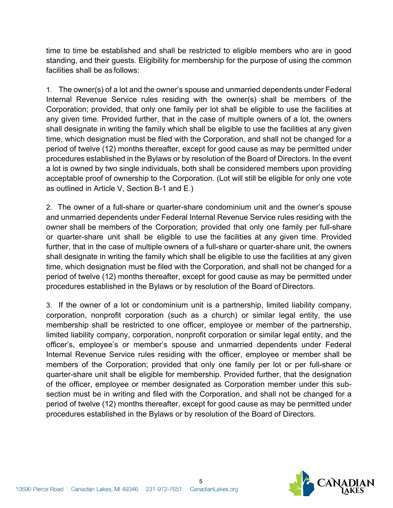time to time be established and shall be restricted to eligible members who are in good standing, and their guests. Eligibility for membership for the purpose of using the common facilities shall be as follows:

1. The owner(s) of a lot and the owner's spouse and unmarried dependents under Federal Internal Revenue Service rules residing with the owner(s) shall be members of the Corporation; provided, that only one family per lot shall be eligible to use the facilities at any given time. Provided further, that in the case of multiple owners of a lot, the owners shall designate in writing the family which shall be eligible to use the facilities at any given time, which designation must be filed with the Corporation, and shall not be changed for a period of twelve (12) months thereafter, except for good cause as may be permitted under procedures established in the Bylaws or by resolution of the Board of Directors. In the event a lot is owned by two single individuals, both shall be considered members upon providing acceptable proof of ownership to the Corporation. (Lot will still be eligible for only one vote as outlined in Article V, Section B-1 and E.)

2. The owner of a full-share or quarter-share condominium unit and the owner's spouse and unmarried dependents under Federal Internal Revenue Service rules residing with the owner shall be members of the Corporation; provided that only one family per full-share or quarter-share unit shall be eligible to use the facilities at any given time. Provided further, that in the case of multiple owners of a full-share or quarter-share unit, the owners shall designate in writing the family which shall be eligible to use the facilities at any given time, which designation must be filed with the Corporation, and shall not be changed for a period of twelve (12) months thereafter, except for good cause as may be permitted under procedures established in the Bylaws or by resolution of the Board of Directors.

3. If the owner of a lot or condominium unit is a partnership, limited liability company, corporation, nonprofit corporation (such as a church) or similar legal entity, the use membership shall be restricted to one officer, employee or member of the partnership, limited liability company, corporation, nonprofit corporation or similar legal entity, and the officer's, employee's or member's spouse and unmarried dependents under Federal Internal Revenue Service rules residing with the officer, employee or member shall be members of the Corporation; provided that only one family per lot or per full-share or quarter-share unit shall be eligible for membership. Provided further, that the designation of the officer, employee or member designated as Corporation member under this subsection must be in writing and filed with the Corporation, and shall not be changed for a period of twelve (12) months thereafter, except for good cause as may be permitted under procedures established in the Bylaws or by resolution of the Board of Directors.

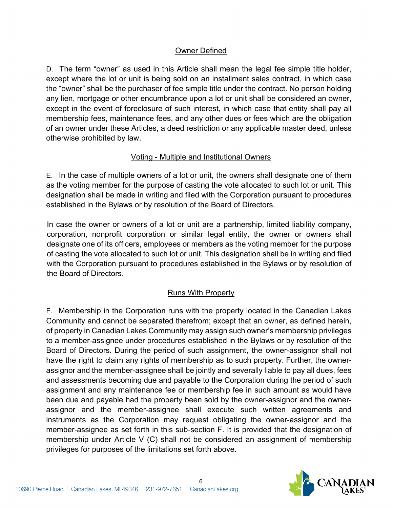## Owner Defined

D. The term "owner" as used in this Article shall mean the legal fee simple title holder, except where the lot or unit is being sold on an installment sales contract, in which case the "owner" shall be the purchaser of fee simple title under the contract. No person holding any lien, mortgage or other encumbrance upon a lot or unit shall be considered an owner, except in the event of foreclosure of such interest, in which case that entity shall pay all membership fees, maintenance fees, and any other dues or fees which are the obligation of an owner under these Articles, a deed restriction or any applicable master deed, unless otherwise prohibited by law.

### Voting - Multiple and Institutional Owners

E. In the case of multiple owners of a lot or unit, the owners shall designate one of them as the voting member for the purpose of casting the vote allocated to such lot or unit. This designation shall be made in writing and filed with the Corporation pursuant to procedures established in the Bylaws or by resolution of the Board of Directors.

In case the owner or owners of a lot or unit are a partnership, limited liability company, corporation, nonprofit corporation or similar legal entity, the owner or owners shall designate one of its officers, employees or members as the voting member for the purpose of casting the vote allocated to such lot or unit. This designation shall be in writing and filed with the Corporation pursuant to procedures established in the Bylaws or by resolution of the Board of Directors.

### Runs With Property

F. Membership in the Corporation runs with the property located in the Canadian Lakes Community and cannot be separated therefrom; except that an owner, as defined herein, of property in Canadian Lakes Community may assign such owner's membership privileges to a member-assignee under procedures established in the Bylaws or by resolution of the Board of Directors. During the period of such assignment, the owner-assignor shall not have the right to claim any rights of membership as to such property. Further, the ownerassignor and the member-assignee shall be jointly and severally liable to pay all dues, fees and assessments becoming due and payable to the Corporation during the period of such assignment and any maintenance fee or membership fee in such amount as would have been due and payable had the property been sold by the owner-assignor and the ownerassignor and the member-assignee shall execute such written agreements and instruments as the Corporation may request obligating the owner-assignor and the member-assignee as set forth in this sub-section F. It is provided that the designation of membership under Article V (C) shall not be considered an assignment of membership privileges for purposes of the limitations set forth above.

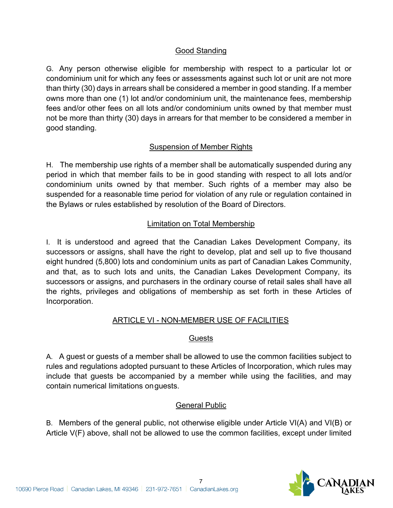# Good Standing

G. Any person otherwise eligible for membership with respect to a particular lot or condominium unit for which any fees or assessments against such lot or unit are not more than thirty (30) days in arrears shall be considered a member in good standing. If a member owns more than one (1) lot and/or condominium unit, the maintenance fees, membership fees and/or other fees on all lots and/or condominium units owned by that member must not be more than thirty (30) days in arrears for that member to be considered a member in good standing.

### Suspension of Member Rights

H. The membership use rights of a member shall be automatically suspended during any period in which that member fails to be in good standing with respect to all lots and/or condominium units owned by that member. Such rights of a member may also be suspended for a reasonable time period for violation of any rule or regulation contained in the Bylaws or rules established by resolution of the Board of Directors.

### Limitation on Total Membership

I. It is understood and agreed that the Canadian Lakes Development Company, its successors or assigns, shall have the right to develop, plat and sell up to five thousand eight hundred (5,800) lots and condominium units as part of Canadian Lakes Community, and that, as to such lots and units, the Canadian Lakes Development Company, its successors or assigns, and purchasers in the ordinary course of retail sales shall have all the rights, privileges and obligations of membership as set forth in these Articles of Incorporation.

### ARTICLE VI - NON-MEMBER USE OF FACILITIES

#### **Guests**

A. A guest or guests of a member shall be allowed to use the common facilities subject to rules and regulations adopted pursuant to these Articles of Incorporation, which rules may include that guests be accompanied by a member while using the facilities, and may contain numerical limitations onguests.

#### General Public

B. Members of the general public, not otherwise eligible under Article VI(A) and VI(B) or Article V(F) above, shall not be allowed to use the common facilities, except under limited

7

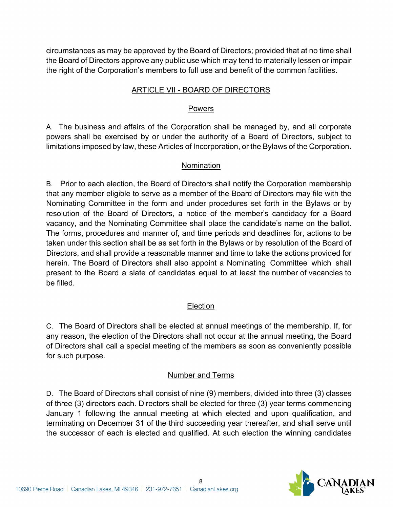circumstances as may be approved by the Board of Directors; provided that at no time shall the Board of Directors approve any public use which may tend to materially lessen or impair the right of the Corporation's members to full use and benefit of the common facilities.

### ARTICLE VII - BOARD OF DIRECTORS

### Powers

A. The business and affairs of the Corporation shall be managed by, and all corporate powers shall be exercised by or under the authority of a Board of Directors, subject to limitations imposed by law, these Articles of Incorporation, or the Bylaws of the Corporation.

## Nomination

B. Prior to each election, the Board of Directors shall notify the Corporation membership that any member eligible to serve as a member of the Board of Directors may file with the Nominating Committee in the form and under procedures set forth in the Bylaws or by resolution of the Board of Directors, a notice of the member's candidacy for a Board vacancy, and the Nominating Committee shall place the candidate's name on the ballot. The forms, procedures and manner of, and time periods and deadlines for, actions to be taken under this section shall be as set forth in the Bylaws or by resolution of the Board of Directors, and shall provide a reasonable manner and time to take the actions provided for herein. The Board of Directors shall also appoint a Nominating Committee which shall present to the Board a slate of candidates equal to at least the number of vacancies to be filled.

# Election

C. The Board of Directors shall be elected at annual meetings of the membership. If, for any reason, the election of the Directors shall not occur at the annual meeting, the Board of Directors shall call a special meeting of the members as soon as conveniently possible for such purpose.

### Number and Terms

D. The Board of Directors shall consist of nine (9) members, divided into three (3) classes of three (3) directors each. Directors shall be elected for three (3) year terms commencing January 1 following the annual meeting at which elected and upon qualification, and terminating on December 31 of the third succeeding year thereafter, and shall serve until the successor of each is elected and qualified. At such election the winning candidates

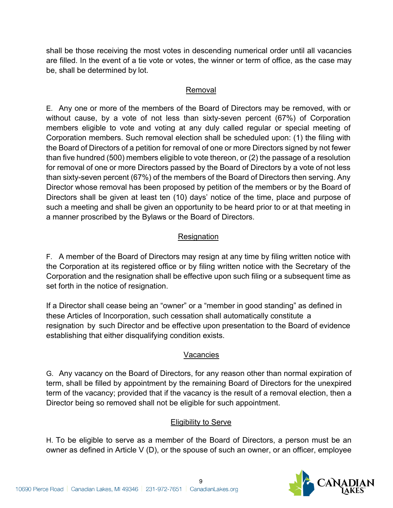shall be those receiving the most votes in descending numerical order until all vacancies are filled. In the event of a tie vote or votes, the winner or term of office, as the case may be, shall be determined by lot.

### Removal

E. Any one or more of the members of the Board of Directors may be removed, with or without cause, by a vote of not less than sixty-seven percent (67%) of Corporation members eligible to vote and voting at any duly called regular or special meeting of Corporation members. Such removal election shall be scheduled upon: (1) the filing with the Board of Directors of a petition for removal of one or more Directors signed by not fewer than five hundred (500) members eligible to vote thereon, or (2) the passage of a resolution for removal of one or more Directors passed by the Board of Directors by a vote of not less than sixty-seven percent (67%) of the members of the Board of Directors then serving. Any Director whose removal has been proposed by petition of the members or by the Board of Directors shall be given at least ten (10) days' notice of the time, place and purpose of such a meeting and shall be given an opportunity to be heard prior to or at that meeting in a manner proscribed by the Bylaws or the Board of Directors.

# **Resignation**

F. A member of the Board of Directors may resign at any time by filing written notice with the Corporation at its registered office or by filing written notice with the Secretary of the Corporation and the resignation shall be effective upon such filing or a subsequent time as set forth in the notice of resignation.

If a Director shall cease being an "owner" or a "member in good standing" as defined in these Articles of Incorporation, such cessation shall automatically constitute a resignation by such Director and be effective upon presentation to the Board of evidence establishing that either disqualifying condition exists.

# Vacancies

G. Any vacancy on the Board of Directors, for any reason other than normal expiration of term, shall be filled by appointment by the remaining Board of Directors for the unexpired term of the vacancy; provided that if the vacancy is the result of a removal election, then a Director being so removed shall not be eligible for such appointment.

# Eligibility to Serve

H. To be eligible to serve as a member of the Board of Directors, a person must be an owner as defined in Article V (D), or the spouse of such an owner, or an officer, employee

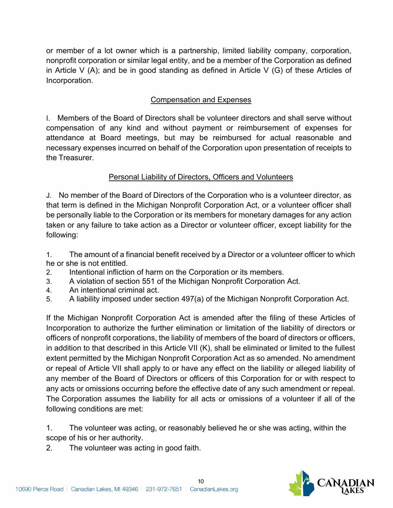or member of a lot owner which is a partnership, limited liability company, corporation, nonprofit corporation or similar legal entity, and be a member of the Corporation as defined in Article V (A); and be in good standing as defined in Article V (G) of these Articles of Incorporation.

# Compensation and Expenses

I. Members of the Board of Directors shall be volunteer directors and shall serve without compensation of any kind and without payment or reimbursement of expenses for attendance at Board meetings, but may be reimbursed for actual reasonable and necessary expenses incurred on behalf of the Corporation upon presentation of receipts to the Treasurer.

## Personal Liability of Directors, Officers and Volunteers

J. No member of the Board of Directors of the Corporation who is a volunteer director, as that term is defined in the Michigan Nonprofit Corporation Act, or a volunteer officer shall be personally liable to the Corporation or its members for monetary damages for any action taken or any failure to take action as a Director or volunteer officer, except liability for the following:

1. The amount of a financial benefit received by a Director or a volunteer officer to which he or she is not entitled.

- 2. Intentional infliction of harm on the Corporation or its members.
- 3. A violation of section 551 of the Michigan Nonprofit Corporation Act.
- 4. An intentional criminal act.
- 5. A liability imposed under section 497(a) of the Michigan Nonprofit Corporation Act.

If the Michigan Nonprofit Corporation Act is amended after the filing of these Articles of Incorporation to authorize the further elimination or limitation of the liability of directors or officers of nonprofit corporations, the liability of members of the board of directors or officers, in addition to that described in this Article VII (K), shall be eliminated or limited to the fullest extent permitted by the Michigan Nonprofit Corporation Act as so amended. No amendment or repeal of Article VII shall apply to or have any effect on the liability or alleged liability of any member of the Board of Directors or officers of this Corporation for or with respect to any acts or omissions occurring before the effective date of any such amendment or repeal. The Corporation assumes the liability for all acts or omissions of a volunteer if all of the following conditions are met:

1. The volunteer was acting, or reasonably believed he or she was acting, within the scope of his or her authority.

2. The volunteer was acting in good faith.

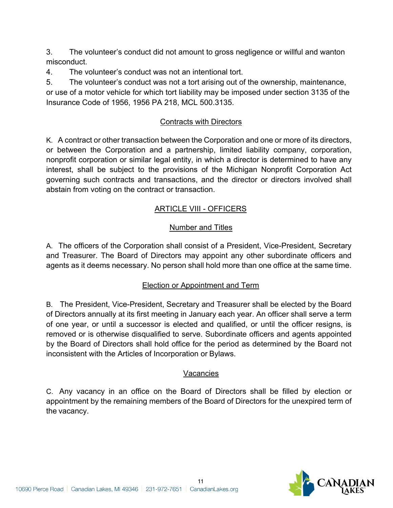3. The volunteer's conduct did not amount to gross negligence or willful and wanton misconduct.

4. The volunteer's conduct was not an intentional tort.

5. The volunteer's conduct was not a tort arising out of the ownership, maintenance, or use of a motor vehicle for which tort liability may be imposed under section 3135 of the Insurance Code of 1956, 1956 PA 218, MCL 500.3135.

## Contracts with Directors

K. A contract or other transaction between the Corporation and one or more of its directors, or between the Corporation and a partnership, limited liability company, corporation, nonprofit corporation or similar legal entity, in which a director is determined to have any interest, shall be subject to the provisions of the Michigan Nonprofit Corporation Act governing such contracts and transactions, and the director or directors involved shall abstain from voting on the contract or transaction.

# ARTICLE VIII - OFFICERS

# Number and Titles

A. The officers of the Corporation shall consist of a President, Vice-President, Secretary and Treasurer. The Board of Directors may appoint any other subordinate officers and agents as it deems necessary. No person shall hold more than one office at the same time.

# Election or Appointment and Term

B. The President, Vice-President, Secretary and Treasurer shall be elected by the Board of Directors annually at its first meeting in January each year. An officer shall serve a term of one year, or until a successor is elected and qualified, or until the officer resigns, is removed or is otherwise disqualified to serve. Subordinate officers and agents appointed by the Board of Directors shall hold office for the period as determined by the Board not inconsistent with the Articles of Incorporation or Bylaws.

### Vacancies

C. Any vacancy in an office on the Board of Directors shall be filled by election or appointment by the remaining members of the Board of Directors for the unexpired term of the vacancy.

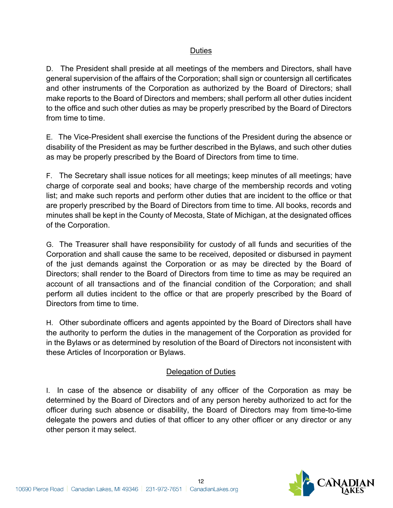### Duties

D. The President shall preside at all meetings of the members and Directors, shall have general supervision of the affairs of the Corporation; shall sign or countersign all certificates and other instruments of the Corporation as authorized by the Board of Directors; shall make reports to the Board of Directors and members; shall perform all other duties incident to the office and such other duties as may be properly prescribed by the Board of Directors from time to time.

E. The Vice-President shall exercise the functions of the President during the absence or disability of the President as may be further described in the Bylaws, and such other duties as may be properly prescribed by the Board of Directors from time to time.

F. The Secretary shall issue notices for all meetings; keep minutes of all meetings; have charge of corporate seal and books; have charge of the membership records and voting list; and make such reports and perform other duties that are incident to the office or that are properly prescribed by the Board of Directors from time to time. All books, records and minutes shall be kept in the County of Mecosta, State of Michigan, at the designated offices of the Corporation.

G. The Treasurer shall have responsibility for custody of all funds and securities of the Corporation and shall cause the same to be received, deposited or disbursed in payment of the just demands against the Corporation or as may be directed by the Board of Directors; shall render to the Board of Directors from time to time as may be required an account of all transactions and of the financial condition of the Corporation; and shall perform all duties incident to the office or that are properly prescribed by the Board of Directors from time to time.

H. Other subordinate officers and agents appointed by the Board of Directors shall have the authority to perform the duties in the management of the Corporation as provided for in the Bylaws or as determined by resolution of the Board of Directors not inconsistent with these Articles of Incorporation or Bylaws.

### Delegation of Duties

I. In case of the absence or disability of any officer of the Corporation as may be determined by the Board of Directors and of any person hereby authorized to act for the officer during such absence or disability, the Board of Directors may from time-to-time delegate the powers and duties of that officer to any other officer or any director or any other person it may select.

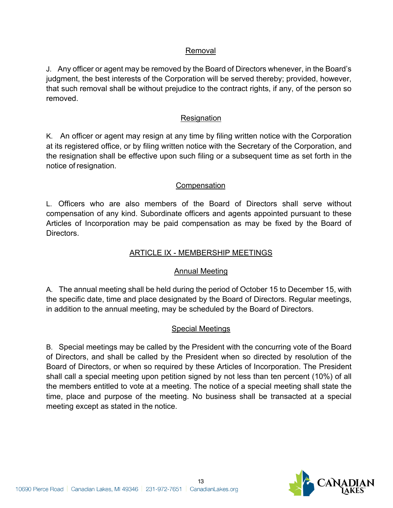### Removal

J. Any officer or agent may be removed by the Board of Directors whenever, in the Board's judgment, the best interests of the Corporation will be served thereby; provided, however, that such removal shall be without prejudice to the contract rights, if any, of the person so removed.

### **Resignation**

K. An officer or agent may resign at any time by filing written notice with the Corporation at its registered office, or by filing written notice with the Secretary of the Corporation, and the resignation shall be effective upon such filing or a subsequent time as set forth in the notice of resignation.

### **Compensation**

L. Officers who are also members of the Board of Directors shall serve without compensation of any kind. Subordinate officers and agents appointed pursuant to these Articles of Incorporation may be paid compensation as may be fixed by the Board of Directors.

#### ARTICLE IX - MEMBERSHIP MEETINGS

### Annual Meeting

A. The annual meeting shall be held during the period of October 15 to December 15, with the specific date, time and place designated by the Board of Directors. Regular meetings, in addition to the annual meeting, may be scheduled by the Board of Directors.

#### Special Meetings

B. Special meetings may be called by the President with the concurring vote of the Board of Directors, and shall be called by the President when so directed by resolution of the Board of Directors, or when so required by these Articles of Incorporation. The President shall call a special meeting upon petition signed by not less than ten percent (10%) of all the members entitled to vote at a meeting. The notice of a special meeting shall state the time, place and purpose of the meeting. No business shall be transacted at a special meeting except as stated in the notice.

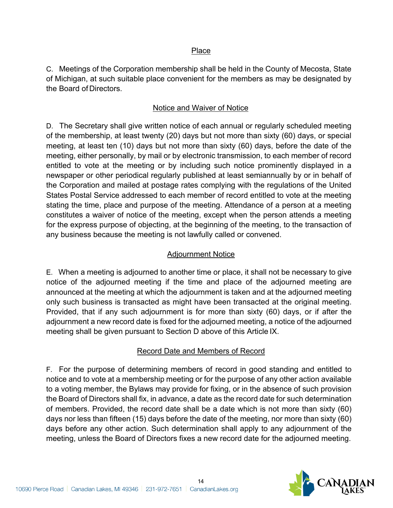### Place

C. Meetings of the Corporation membership shall be held in the County of Mecosta, State of Michigan, at such suitable place convenient for the members as may be designated by the Board of Directors.

### Notice and Waiver of Notice

D. The Secretary shall give written notice of each annual or regularly scheduled meeting of the membership, at least twenty (20) days but not more than sixty (60) days, or special meeting, at least ten (10) days but not more than sixty (60) days, before the date of the meeting, either personally, by mail or by electronic transmission, to each member of record entitled to vote at the meeting or by including such notice prominently displayed in a newspaper or other periodical regularly published at least semiannually by or in behalf of the Corporation and mailed at postage rates complying with the regulations of the United States Postal Service addressed to each member of record entitled to vote at the meeting stating the time, place and purpose of the meeting. Attendance of a person at a meeting constitutes a waiver of notice of the meeting, except when the person attends a meeting for the express purpose of objecting, at the beginning of the meeting, to the transaction of any business because the meeting is not lawfully called or convened.

#### Adjournment Notice

E. When a meeting is adjourned to another time or place, it shall not be necessary to give notice of the adjourned meeting if the time and place of the adjourned meeting are announced at the meeting at which the adjournment is taken and at the adjourned meeting only such business is transacted as might have been transacted at the original meeting. Provided, that if any such adjournment is for more than sixty (60) days, or if after the adjournment a new record date is fixed for the adjourned meeting, a notice of the adjourned meeting shall be given pursuant to Section D above of this Article IX.

### Record Date and Members of Record

F. For the purpose of determining members of record in good standing and entitled to notice and to vote at a membership meeting or for the purpose of any other action available to a voting member, the Bylaws may provide for fixing, or in the absence of such provision the Board of Directors shall fix, in advance, a date as the record date for such determination of members. Provided, the record date shall be a date which is not more than sixty (60) days nor less than fifteen (15) days before the date of the meeting, nor more than sixty (60) days before any other action. Such determination shall apply to any adjournment of the meeting, unless the Board of Directors fixes a new record date for the adjourned meeting.

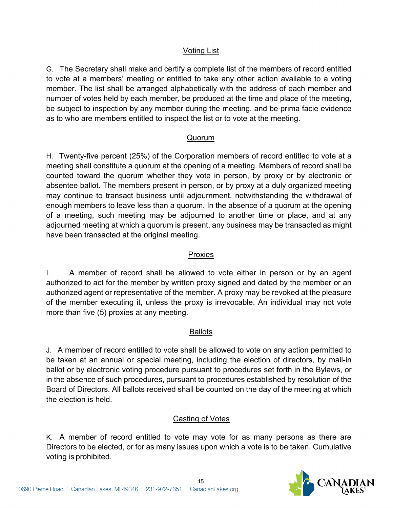## Voting List

G. The Secretary shall make and certify a complete list of the members of record entitled to vote at a members' meeting or entitled to take any other action available to a voting member. The list shall be arranged alphabetically with the address of each member and number of votes held by each member, be produced at the time and place of the meeting, be subject to inspection by any member during the meeting, and be prima facie evidence as to who are members entitled to inspect the list or to vote at the meeting.

### Quorum

H. Twenty-five percent (25%) of the Corporation members of record entitled to vote at a meeting shall constitute a quorum at the opening of a meeting. Members of record shall be counted toward the quorum whether they vote in person, by proxy or by electronic or absentee ballot. The members present in person, or by proxy at a duly organized meeting may continue to transact business until adjournment, notwithstanding the withdrawal of enough members to leave less than a quorum. In the absence of a quorum at the opening of a meeting, such meeting may be adjourned to another time or place, and at any adjourned meeting at which a quorum is present, any business may be transacted as might have been transacted at the original meeting.

#### Proxies

I. A member of record shall be allowed to vote either in person or by an agent authorized to act for the member by written proxy signed and dated by the member or an authorized agent or representative of the member. A proxy may be revoked at the pleasure of the member executing it, unless the proxy is irrevocable. An individual may not vote more than five (5) proxies at any meeting.

#### Ballots

J. A member of record entitled to vote shall be allowed to vote on any action permitted to be taken at an annual or special meeting, including the election of directors, by mail-in ballot or by electronic voting procedure pursuant to procedures set forth in the Bylaws, or in the absence of such procedures, pursuant to procedures established by resolution of the Board of Directors. All ballots received shall be counted on the day of the meeting at which the election is held.

### Casting of Votes

K. A member of record entitled to vote may vote for as many persons as there are Directors to be elected, or for as many issues upon which a vote is to be taken. Cumulative voting is prohibited.

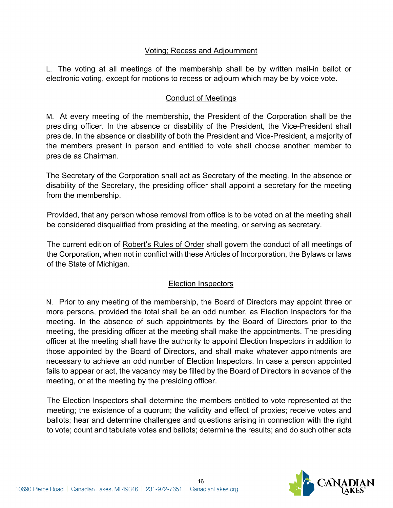### Voting; Recess and Adjournment

L. The voting at all meetings of the membership shall be by written mail-in ballot or electronic voting, except for motions to recess or adjourn which may be by voice vote.

## Conduct of Meetings

M. At every meeting of the membership, the President of the Corporation shall be the presiding officer. In the absence or disability of the President, the Vice-President shall preside. In the absence or disability of both the President and Vice-President, a majority of the members present in person and entitled to vote shall choose another member to preside as Chairman.

The Secretary of the Corporation shall act as Secretary of the meeting. In the absence or disability of the Secretary, the presiding officer shall appoint a secretary for the meeting from the membership.

Provided, that any person whose removal from office is to be voted on at the meeting shall be considered disqualified from presiding at the meeting, or serving as secretary.

The current edition of Robert's Rules of Order shall govern the conduct of all meetings of the Corporation, when not in conflict with these Articles of Incorporation, the Bylaws or laws of the State of Michigan.

### Election Inspectors

N. Prior to any meeting of the membership, the Board of Directors may appoint three or more persons, provided the total shall be an odd number, as Election Inspectors for the meeting. In the absence of such appointments by the Board of Directors prior to the meeting, the presiding officer at the meeting shall make the appointments. The presiding officer at the meeting shall have the authority to appoint Election Inspectors in addition to those appointed by the Board of Directors, and shall make whatever appointments are necessary to achieve an odd number of Election Inspectors. In case a person appointed fails to appear or act, the vacancy may be filled by the Board of Directors in advance of the meeting, or at the meeting by the presiding officer.

The Election Inspectors shall determine the members entitled to vote represented at the meeting; the existence of a quorum; the validity and effect of proxies; receive votes and ballots; hear and determine challenges and questions arising in connection with the right to vote; count and tabulate votes and ballots; determine the results; and do such other acts

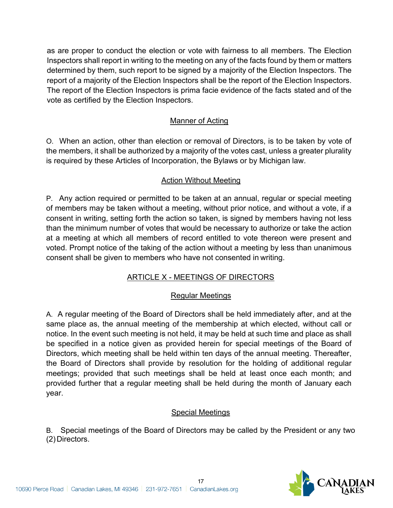as are proper to conduct the election or vote with fairness to all members. The Election Inspectors shall report in writing to the meeting on any of the facts found by them or matters determined by them, such report to be signed by a majority of the Election Inspectors. The report of a majority of the Election Inspectors shall be the report of the Election Inspectors. The report of the Election Inspectors is prima facie evidence of the facts stated and of the vote as certified by the Election Inspectors.

# Manner of Acting

O. When an action, other than election or removal of Directors, is to be taken by vote of the members, it shall be authorized by a majority of the votes cast, unless a greater plurality is required by these Articles of Incorporation, the Bylaws or by Michigan law.

### Action Without Meeting

P. Any action required or permitted to be taken at an annual, regular or special meeting of members may be taken without a meeting, without prior notice, and without a vote, if a consent in writing, setting forth the action so taken, is signed by members having not less than the minimum number of votes that would be necessary to authorize or take the action at a meeting at which all members of record entitled to vote thereon were present and voted. Prompt notice of the taking of the action without a meeting by less than unanimous consent shall be given to members who have not consented in writing.

# ARTICLE X - MEETINGS OF DIRECTORS

### Regular Meetings

A. A regular meeting of the Board of Directors shall be held immediately after, and at the same place as, the annual meeting of the membership at which elected, without call or notice. In the event such meeting is not held, it may be held at such time and place as shall be specified in a notice given as provided herein for special meetings of the Board of Directors, which meeting shall be held within ten days of the annual meeting. Thereafter, the Board of Directors shall provide by resolution for the holding of additional regular meetings; provided that such meetings shall be held at least once each month; and provided further that a regular meeting shall be held during the month of January each year.

### Special Meetings

B. Special meetings of the Board of Directors may be called by the President or any two (2)Directors.

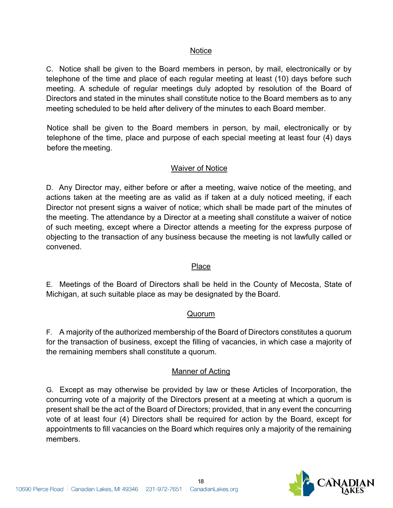### Notice

C. Notice shall be given to the Board members in person, by mail, electronically or by telephone of the time and place of each regular meeting at least (10) days before such meeting. A schedule of regular meetings duly adopted by resolution of the Board of Directors and stated in the minutes shall constitute notice to the Board members as to any meeting scheduled to be held after delivery of the minutes to each Board member.

Notice shall be given to the Board members in person, by mail, electronically or by telephone of the time, place and purpose of each special meeting at least four (4) days before the meeting.

### Waiver of Notice

D. Any Director may, either before or after a meeting, waive notice of the meeting, and actions taken at the meeting are as valid as if taken at a duly noticed meeting, if each Director not present signs a waiver of notice; which shall be made part of the minutes of the meeting. The attendance by a Director at a meeting shall constitute a waiver of notice of such meeting, except where a Director attends a meeting for the express purpose of objecting to the transaction of any business because the meeting is not lawfully called or convened.

#### Place

E. Meetings of the Board of Directors shall be held in the County of Mecosta, State of Michigan, at such suitable place as may be designated by the Board.

#### Quorum

F. A majority of the authorized membership of the Board of Directors constitutes a quorum for the transaction of business, except the filling of vacancies, in which case a majority of the remaining members shall constitute a quorum.

#### Manner of Acting

G. Except as may otherwise be provided by law or these Articles of Incorporation, the concurring vote of a majority of the Directors present at a meeting at which a quorum is present shall be the act of the Board of Directors; provided, that in any event the concurring vote of at least four (4) Directors shall be required for action by the Board, except for appointments to fill vacancies on the Board which requires only a majority of the remaining members.

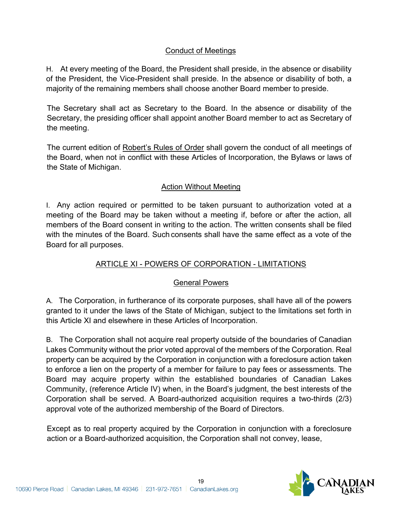# Conduct of Meetings

H. At every meeting of the Board, the President shall preside, in the absence or disability of the President, the Vice-President shall preside. In the absence or disability of both, a majority of the remaining members shall choose another Board member to preside.

The Secretary shall act as Secretary to the Board. In the absence or disability of the Secretary, the presiding officer shall appoint another Board member to act as Secretary of the meeting.

The current edition of Robert's Rules of Order shall govern the conduct of all meetings of the Board, when not in conflict with these Articles of Incorporation, the Bylaws or laws of the State of Michigan.

### Action Without Meeting

I. Any action required or permitted to be taken pursuant to authorization voted at a meeting of the Board may be taken without a meeting if, before or after the action, all members of the Board consent in writing to the action. The written consents shall be filed with the minutes of the Board. Such consents shall have the same effect as a vote of the Board for all purposes.

# ARTICLE XI - POWERS OF CORPORATION - LIMITATIONS

### General Powers

A. The Corporation, in furtherance of its corporate purposes, shall have all of the powers granted to it under the laws of the State of Michigan, subject to the limitations set forth in this Article XI and elsewhere in these Articles of Incorporation.

B. The Corporation shall not acquire real property outside of the boundaries of Canadian Lakes Community without the prior voted approval of the members of the Corporation. Real property can be acquired by the Corporation in conjunction with a foreclosure action taken to enforce a lien on the property of a member for failure to pay fees or assessments. The Board may acquire property within the established boundaries of Canadian Lakes Community, (reference Article IV) when, in the Board's judgment, the best interests of the Corporation shall be served. A Board-authorized acquisition requires a two-thirds (2/3) approval vote of the authorized membership of the Board of Directors.

Except as to real property acquired by the Corporation in conjunction with a foreclosure action or a Board-authorized acquisition, the Corporation shall not convey, lease,

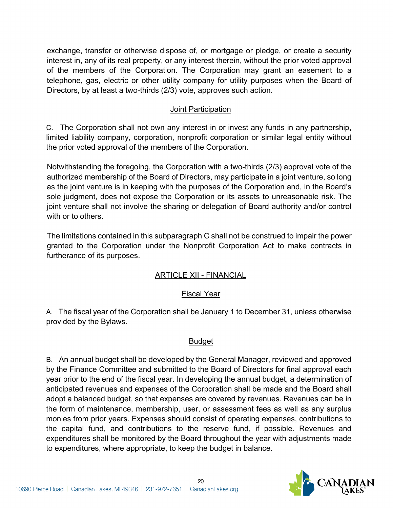exchange, transfer or otherwise dispose of, or mortgage or pledge, or create a security interest in, any of its real property, or any interest therein, without the prior voted approval of the members of the Corporation. The Corporation may grant an easement to a telephone, gas, electric or other utility company for utility purposes when the Board of Directors, by at least a two-thirds (2/3) vote, approves such action.

### Joint Participation

C. The Corporation shall not own any interest in or invest any funds in any partnership, limited liability company, corporation, nonprofit corporation or similar legal entity without the prior voted approval of the members of the Corporation.

Notwithstanding the foregoing, the Corporation with a two-thirds (2/3) approval vote of the authorized membership of the Board of Directors, may participate in a joint venture, so long as the joint venture is in keeping with the purposes of the Corporation and, in the Board's sole judgment, does not expose the Corporation or its assets to unreasonable risk. The joint venture shall not involve the sharing or delegation of Board authority and/or control with or to others.

The limitations contained in this subparagraph C shall not be construed to impair the power granted to the Corporation under the Nonprofit Corporation Act to make contracts in furtherance of its purposes.

### ARTICLE XII - FINANCIAL

### Fiscal Year

A. The fiscal year of the Corporation shall be January 1 to December 31, unless otherwise provided by the Bylaws.

#### Budget

B. An annual budget shall be developed by the General Manager, reviewed and approved by the Finance Committee and submitted to the Board of Directors for final approval each year prior to the end of the fiscal year. In developing the annual budget, a determination of anticipated revenues and expenses of the Corporation shall be made and the Board shall adopt a balanced budget, so that expenses are covered by revenues. Revenues can be in the form of maintenance, membership, user, or assessment fees as well as any surplus monies from prior years. Expenses should consist of operating expenses, contributions to the capital fund, and contributions to the reserve fund, if possible. Revenues and expenditures shall be monitored by the Board throughout the year with adjustments made to expenditures, where appropriate, to keep the budget in balance.

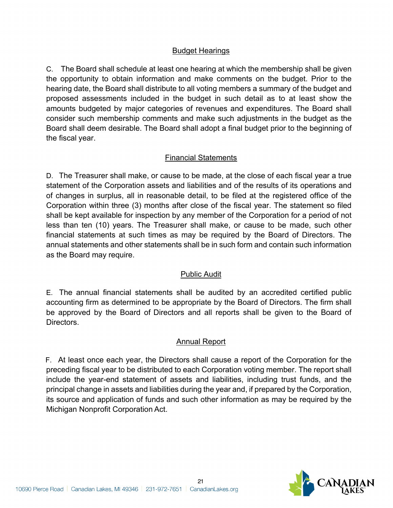### Budget Hearings

C. The Board shall schedule at least one hearing at which the membership shall be given the opportunity to obtain information and make comments on the budget. Prior to the hearing date, the Board shall distribute to all voting members a summary of the budget and proposed assessments included in the budget in such detail as to at least show the amounts budgeted by major categories of revenues and expenditures. The Board shall consider such membership comments and make such adjustments in the budget as the Board shall deem desirable. The Board shall adopt a final budget prior to the beginning of the fiscal year.

### Financial Statements

D. The Treasurer shall make, or cause to be made, at the close of each fiscal year a true statement of the Corporation assets and liabilities and of the results of its operations and of changes in surplus, all in reasonable detail, to be filed at the registered office of the Corporation within three (3) months after close of the fiscal year. The statement so filed shall be kept available for inspection by any member of the Corporation for a period of not less than ten (10) years. The Treasurer shall make, or cause to be made, such other financial statements at such times as may be required by the Board of Directors. The annual statements and other statements shall be in such form and contain such information as the Board may require.

### Public Audit

E. The annual financial statements shall be audited by an accredited certified public accounting firm as determined to be appropriate by the Board of Directors. The firm shall be approved by the Board of Directors and all reports shall be given to the Board of Directors.

### **Annual Report**

F. At least once each year, the Directors shall cause a report of the Corporation for the preceding fiscal year to be distributed to each Corporation voting member. The report shall include the year-end statement of assets and liabilities, including trust funds, and the principal change in assets and liabilities during the year and, if prepared by the Corporation, its source and application of funds and such other information as may be required by the Michigan Nonprofit Corporation Act.

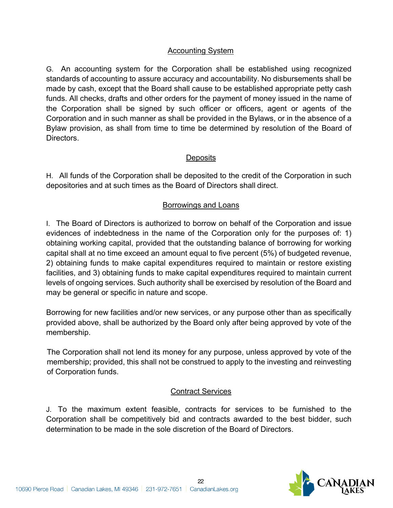### Accounting System

G. An accounting system for the Corporation shall be established using recognized standards of accounting to assure accuracy and accountability. No disbursements shall be made by cash, except that the Board shall cause to be established appropriate petty cash funds. All checks, drafts and other orders for the payment of money issued in the name of the Corporation shall be signed by such officer or officers, agent or agents of the Corporation and in such manner as shall be provided in the Bylaws, or in the absence of a Bylaw provision, as shall from time to time be determined by resolution of the Board of Directors.

#### **Deposits**

H. All funds of the Corporation shall be deposited to the credit of the Corporation in such depositories and at such times as the Board of Directors shall direct.

### Borrowings and Loans

I. The Board of Directors is authorized to borrow on behalf of the Corporation and issue evidences of indebtedness in the name of the Corporation only for the purposes of: 1) obtaining working capital, provided that the outstanding balance of borrowing for working capital shall at no time exceed an amount equal to five percent (5%) of budgeted revenue, 2) obtaining funds to make capital expenditures required to maintain or restore existing facilities, and 3) obtaining funds to make capital expenditures required to maintain current levels of ongoing services. Such authority shall be exercised by resolution of the Board and may be general or specific in nature and scope.

Borrowing for new facilities and/or new services, or any purpose other than as specifically provided above, shall be authorized by the Board only after being approved by vote of the membership.

The Corporation shall not lend its money for any purpose, unless approved by vote of the membership; provided, this shall not be construed to apply to the investing and reinvesting of Corporation funds.

#### Contract Services

J. To the maximum extent feasible, contracts for services to be furnished to the Corporation shall be competitively bid and contracts awarded to the best bidder, such determination to be made in the sole discretion of the Board of Directors.

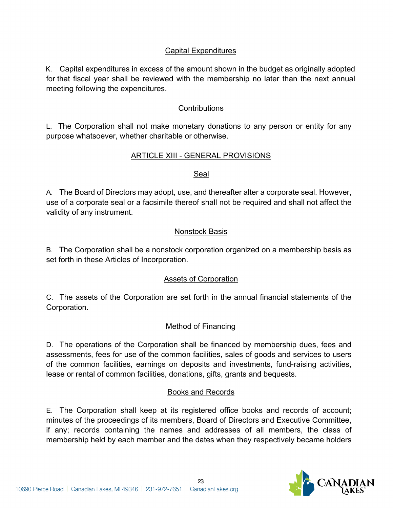### Capital Expenditures

K. Capital expenditures in excess of the amount shown in the budget as originally adopted for that fiscal year shall be reviewed with the membership no later than the next annual meeting following the expenditures.

#### **Contributions**

L. The Corporation shall not make monetary donations to any person or entity for any purpose whatsoever, whether charitable or otherwise.

### ARTICLE XIII - GENERAL PROVISIONS

#### Seal

A. The Board of Directors may adopt, use, and thereafter alter a corporate seal. However, use of a corporate seal or a facsimile thereof shall not be required and shall not affect the validity of any instrument.

### Nonstock Basis

B. The Corporation shall be a nonstock corporation organized on a membership basis as set forth in these Articles of Incorporation.

#### Assets of Corporation

C. The assets of the Corporation are set forth in the annual financial statements of the Corporation.

#### Method of Financing

D. The operations of the Corporation shall be financed by membership dues, fees and assessments, fees for use of the common facilities, sales of goods and services to users of the common facilities, earnings on deposits and investments, fund-raising activities, lease or rental of common facilities, donations, gifts, grants and bequests.

#### Books and Records

E. The Corporation shall keep at its registered office books and records of account; minutes of the proceedings of its members, Board of Directors and Executive Committee, if any; records containing the names and addresses of all members, the class of membership held by each member and the dates when they respectively became holders

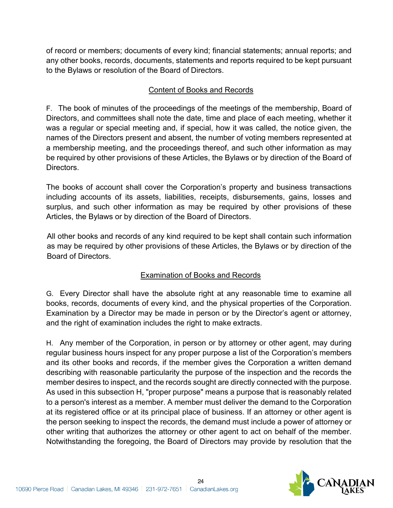of record or members; documents of every kind; financial statements; annual reports; and any other books, records, documents, statements and reports required to be kept pursuant to the Bylaws or resolution of the Board of Directors.

# Content of Books and Records

F. The book of minutes of the proceedings of the meetings of the membership, Board of Directors, and committees shall note the date, time and place of each meeting, whether it was a regular or special meeting and, if special, how it was called, the notice given, the names of the Directors present and absent, the number of voting members represented at a membership meeting, and the proceedings thereof, and such other information as may be required by other provisions of these Articles, the Bylaws or by direction of the Board of Directors.

The books of account shall cover the Corporation's property and business transactions including accounts of its assets, liabilities, receipts, disbursements, gains, losses and surplus, and such other information as may be required by other provisions of these Articles, the Bylaws or by direction of the Board of Directors.

All other books and records of any kind required to be kept shall contain such information as may be required by other provisions of these Articles, the Bylaws or by direction of the Board of Directors.

# Examination of Books and Records

G. Every Director shall have the absolute right at any reasonable time to examine all books, records, documents of every kind, and the physical properties of the Corporation. Examination by a Director may be made in person or by the Director's agent or attorney, and the right of examination includes the right to make extracts.

H. Any member of the Corporation, in person or by attorney or other agent, may during regular business hours inspect for any proper purpose a list of the Corporation's members and its other books and records, if the member gives the Corporation a written demand describing with reasonable particularity the purpose of the inspection and the records the member desires to inspect, and the records sought are directly connected with the purpose. As used in this subsection H, "proper purpose" means a purpose that is reasonably related to a person's interest as a member. A member must deliver the demand to the Corporation at its registered office or at its principal place of business. If an attorney or other agent is the person seeking to inspect the records, the demand must include a power of attorney or other writing that authorizes the attorney or other agent to act on behalf of the member. Notwithstanding the foregoing, the Board of Directors may provide by resolution that the

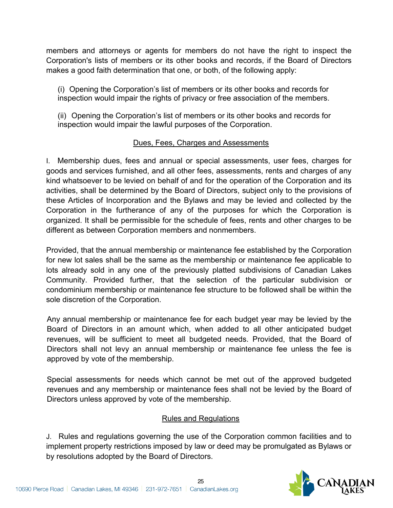members and attorneys or agents for members do not have the right to inspect the Corporation's lists of members or its other books and records, if the Board of Directors makes a good faith determination that one, or both, of the following apply:

(i) Opening the Corporation's list of members or its other books and records for inspection would impair the rights of privacy or free association of the members.

(ii) Opening the Corporation's list of members or its other books and records for inspection would impair the lawful purposes of the Corporation.

# Dues, Fees, Charges and Assessments

I. Membership dues, fees and annual or special assessments, user fees, charges for goods and services furnished, and all other fees, assessments, rents and charges of any kind whatsoever to be levied on behalf of and for the operation of the Corporation and its activities, shall be determined by the Board of Directors, subject only to the provisions of these Articles of Incorporation and the Bylaws and may be levied and collected by the Corporation in the furtherance of any of the purposes for which the Corporation is organized. It shall be permissible for the schedule of fees, rents and other charges to be different as between Corporation members and nonmembers.

Provided, that the annual membership or maintenance fee established by the Corporation for new lot sales shall be the same as the membership or maintenance fee applicable to lots already sold in any one of the previously platted subdivisions of Canadian Lakes Community. Provided further, that the selection of the particular subdivision or condominium membership or maintenance fee structure to be followed shall be within the sole discretion of the Corporation.

Any annual membership or maintenance fee for each budget year may be levied by the Board of Directors in an amount which, when added to all other anticipated budget revenues, will be sufficient to meet all budgeted needs. Provided, that the Board of Directors shall not levy an annual membership or maintenance fee unless the fee is approved by vote of the membership.

Special assessments for needs which cannot be met out of the approved budgeted revenues and any membership or maintenance fees shall not be levied by the Board of Directors unless approved by vote of the membership.

### Rules and Regulations

J. Rules and regulations governing the use of the Corporation common facilities and to implement property restrictions imposed by law or deed may be promulgated as Bylaws or by resolutions adopted by the Board of Directors.

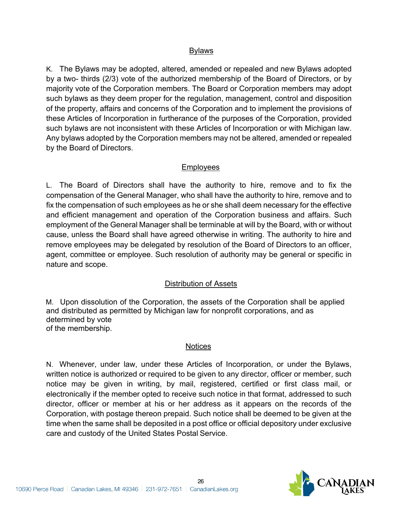#### Bylaws

K. The Bylaws may be adopted, altered, amended or repealed and new Bylaws adopted by a two- thirds (2/3) vote of the authorized membership of the Board of Directors, or by majority vote of the Corporation members. The Board or Corporation members may adopt such bylaws as they deem proper for the regulation, management, control and disposition of the property, affairs and concerns of the Corporation and to implement the provisions of these Articles of Incorporation in furtherance of the purposes of the Corporation, provided such bylaws are not inconsistent with these Articles of Incorporation or with Michigan law. Any bylaws adopted by the Corporation members may not be altered, amended or repealed by the Board of Directors.

### Employees

L. The Board of Directors shall have the authority to hire, remove and to fix the compensation of the General Manager, who shall have the authority to hire, remove and to fix the compensation of such employees as he or she shall deem necessary for the effective and efficient management and operation of the Corporation business and affairs. Such employment of the General Manager shall be terminable at will by the Board, with or without cause, unless the Board shall have agreed otherwise in writing. The authority to hire and remove employees may be delegated by resolution of the Board of Directors to an officer, agent, committee or employee. Such resolution of authority may be general or specific in nature and scope.

### Distribution of Assets

M. Upon dissolution of the Corporation, the assets of the Corporation shall be applied and distributed as permitted by Michigan law for nonprofit corporations, and as determined by vote of the membership.

#### **Notices**

N. Whenever, under law, under these Articles of Incorporation, or under the Bylaws, written notice is authorized or required to be given to any director, officer or member, such notice may be given in writing, by mail, registered, certified or first class mail, or electronically if the member opted to receive such notice in that format, addressed to such director, officer or member at his or her address as it appears on the records of the Corporation, with postage thereon prepaid. Such notice shall be deemed to be given at the time when the same shall be deposited in a post office or official depository under exclusive care and custody of the United States Postal Service.